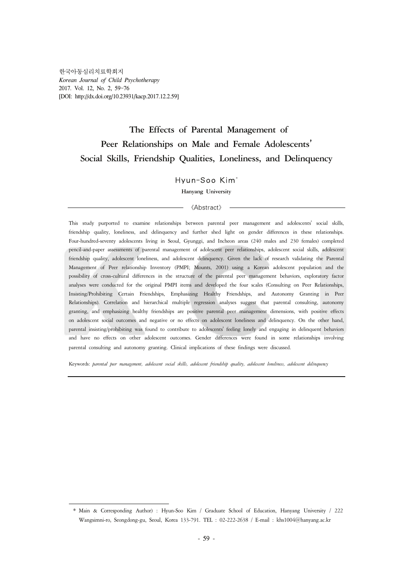# **The Effects of Parental Management of Peer Relationships on Male and Female Adolescents**' **Social Skills, Friendship Qualities, Loneliness, and Delinquency**

## Hyun-Soo Kim\*

**Hanyang University**

#### 《Abstract》

This study purported to examine relationships between parental peer management and adolescents' social skills, friendship quality, loneliness, and delinquency and further shed light on gender differences in these relationships. Four-hundred-seventy adolescents living in Seoul, Gyunggi, and Incheon areas (240 males and 230 females) completed pencil-and-paper assessments of parental management of adolescent peer relationships, adolescent social skills, adolescent friendship quality, adolescent loneliness, and adolescent delinquency. Given the lack of research validating the Parental Management of Peer relationship Inventory (PMPI; Mounts, 2001) using a Korean adolescent population and the possibility of cross-cultural differences in the structure of the parental peer management behaviors, exploratory factor analyses were conducted for the original PMPI items and developed the four scales (Consulting on Peer Relationships, Insisting/Prohibiting Certain Friendships, Emphasizing Healthy Friendships, and Autonomy Granting in Peer Relationships). Correlation and hierarchical multiple regression analyses suggest that parental consulting, autonomy granting, and emphasizing healthy friendships are positive parental peer management dimensions, with positive effects on adolescent social outcomes and negative or no effects on adolescent loneliness and delinquency. On the other hand, parental insisting/prohibiting was found to contribute to adolescents' feeling lonely and engaging in delinquent behaviors and have no effects on other adolescent outcomes. Gender differences were found in some relationships involving parental consulting and autonomy granting. Clinical implications of these findings were discussed.

Keywords: *parental peer management, adolescent social skills, adolescent friendship quality, adolescent loneliness, adolescent delinquency*

<sup>\*</sup> Main & Corresponding Author) : Hyun-Soo Kim / Graduate School of Education, Hanyang University / 222 Wangsimni-ro, Seongdong-gu, Seoul, Korea 133-791. TEL : 02-222-2638 / E-mail : khs1004@hanyang.ac.kr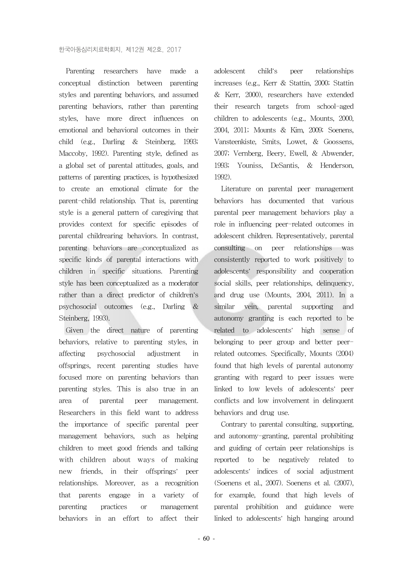Parenting researchers have made a conceptual distinction between parenting styles and parenting behaviors, and assumed parenting behaviors, rather than parenting styles, have more direct influences on emotional and behavioral outcomes in their child (e.g., Darling & Steinberg, 1993; Maccoby, 1992). Parenting style, defined as a global set of parental attitudes, goals, and patterns of parenting practices, is hypothesized to create an emotional climate for the parent-child relationship. That is, parenting style is a general pattern of caregiving that provides context for specific episodes of parental childrearing behaviors. In contrast, parenting behaviors are conceptualized as specific kinds of parental interactions with children in specific situations. Parenting style has been conceptualized as a moderator rather than a direct predictor of children's psychosocial outcomes (e.g., Darling & Steinberg, 1993).

Given the direct nature of parenting behaviors, relative to parenting styles, in affecting psychosocial adjustment in offsprings, recent parenting studies have focused more on parenting behaviors than parenting styles. This is also true in an area of parental peer management. Researchers in this field want to address the importance of specific parental peer management behaviors, such as helping children to meet good friends and talking with children about ways of making new friends, in their offsprings' peer relationships. Moreover, as a recognition that parents engage in a variety of parenting practices or management behaviors in an effort to affect their

adolescent child's peer relationships increases (e.g., Kerr & Stattin, 2000; Stattin & Kerr, 2000), researchers have extended their research targets from school-aged children to adolescents (e.g., Mounts, 2000, 2004, 2011; Mounts & Kim, 2009; Soenens, Vansteenkiste, Smits, Lowet, & Goossens, 2007; Vernberg, Beery, Ewell, & Abwender, 1993; Youniss, DeSantis, & Henderson, 1992).

Literature on parental peer management behaviors has documented that various parental peer management behaviors play a role in influencing peer-related outcomes in adolescent children. Representatively, parental consulting on peer relationships was consistently reported to work positively to adolescents' responsibility and cooperation social skills, peer relationships, delinquency, and drug use (Mounts, 2004, 2011). In a similar vein, parental supporting and autonomy granting is each reported to be related to adolescents' high sense of belonging to peer group and better peerrelated outcomes. Specifically, Mounts (2004) found that high levels of parental autonomy granting with regard to peer issues were linked to low levels of adolescents' peer conflicts and low involvement in delinquent behaviors and drug use.

Contrary to parental consulting, supporting, and autonomy-granting, parental prohibiting and guiding of certain peer relationships is reported to be negatively related to adolescents' indices of social adjustment (Soenens et al., 2007). Soenens et al. (2007), for example, found that high levels of parental prohibition and guidance were linked to adolescents' high hanging around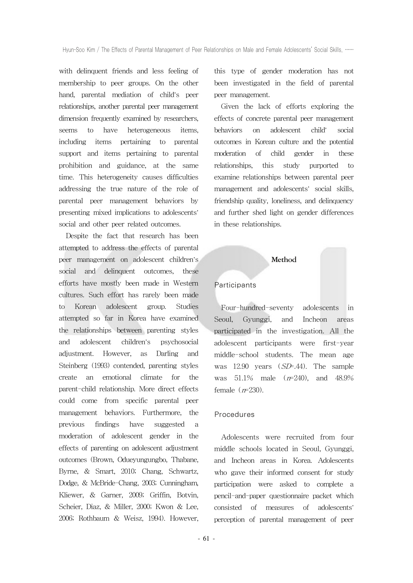with delinquent friends and less feeling of membership to peer groups. On the other hand, parental mediation of child's peer relationships, another parental peer management dimension frequently examined by researchers. seems to have heterogeneous items, including items pertaining to parental support and items pertaining to parental prohibition and guidance, at the same time. This heterogeneity causes difficulties addressing the true nature of the role of parental peer management behaviors by presenting mixed implications to adolescents' social and other peer related outcomes.

Despite the fact that research has been attempted to address the effects of parental peer management on adolescent children's social and delinquent outcomes, these efforts have mostly been made in Western cultures. Such effort has rarely been made to Korean adolescent group. Studies attempted so far in Korea have examined the relationships between parenting styles and adolescent children's psychosocial adjustment. However, as Darling and Steinberg (1993) contended, parenting styles create an emotional climate for the parent-child relationship. More direct effects could come from specific parental peer management behaviors. Furthermore, the previous findings have suggested a moderation of adolescent gender in the effects of parenting on adolescent adjustment outcomes (Brown, Odueyungungbo, Thabane, Byrne, & Smart, 2010; Chang, Schwartz, Dodge, & McBride-Chang, 2003; Cunningham, Kliewer, & Garner, 2009; Griffin, Botvin, Scheier, Diaz, & Miller, 2000; Kwon & Lee, 2006; Rothbaum & Weisz, 1994). However,

this type of gender moderation has not been investigated in the field of parental peer management.

Given the lack of efforts exploring the effects of concrete parental peer management behaviors on adolescent child' social outcomes in Korean culture and the potential moderation of child gender in these relationships, this study purported to examine relationships between parental peer management and adolescents' social skills, friendship quality, loneliness, and delinquency and further shed light on gender differences in these relationships.

#### **Method**

#### **Participants**

Four-hundred-seventy adolescents in Seoul, Gyunggi, and Incheon areas participated in the investigation. All the adolescent participants were first-year middle-school students. The mean age was 12.90 years (SD=.44). The sample was  $51.1\%$  male  $(r=240)$ , and  $48.9\%$ female  $(r=230)$ .

#### Procedures

Adolescents were recruited from four middle schools located in Seoul, Gyunggi, and Incheon areas in Korea. Adolescents who gave their informed consent for study participation were asked to complete a pencil-and-paper questionnaire packet which consisted of measures of adolescents' perception of parental management of peer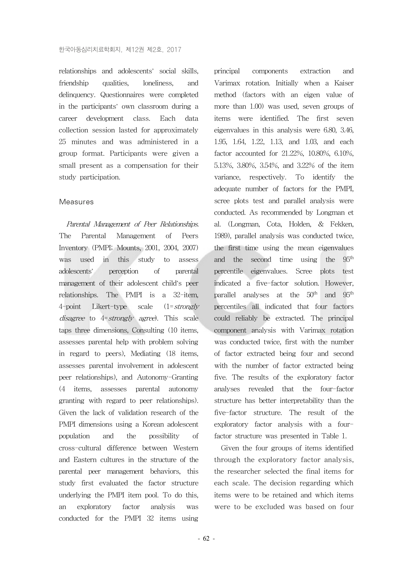relationships and adolescents' social skills, friendship qualities loneliness and delinquency. Questionnaires were completed in the participants' own classroom during a career development class. Each data collection session lasted for approximately 25 minutes and was administered in a group format. Participants were given a small present as a compensation for their study participation.

#### Measures

Parental Management of Peer Relationships. The Parental Management of Peers Inventory (PMPI; Mounts, 2001, 2004, 2007) was used in this study to assess adolescents' perception of parental management of their adolescent child's peer relationships. The PMPI is a 32-item, 4-point Likert-type scale  $(1 = strongly$ disagree to 4= strongly agree). This scale taps three dimensions, Consulting (10 items, assesses parental help with problem solving in regard to peers), Mediating (18 items, assesses parental involvement in adolescent peer relationships), and Autonomy-Granting (4 items, assesses parental autonomy granting with regard to peer relationships). Given the lack of validation research of the PMPI dimensions using a Korean adolescent population and the possibility of cross-cultural difference between Western and Eastern cultures in the structure of the parental peer management behaviors, this study first evaluated the factor structure underlying the PMPI item pool. To do this, an exploratory factor analysis was conducted for the PMPI 32 items using

principal components extraction and Varimax rotation. Initially when a Kaiser method (factors with an eigen value of more than 1.00) was used, seven groups of items were identified. The first seven eigenvalues in this analysis were 6.80, 3.46, 1.95, 1.64, 1.22, 1.13, and 1.03, and each factor accounted for 21.22%, 10.80%, 6.10%, 5.13%, 3.80%, 3.54%, and 3.22% of the item variance, respectively. To identify the adequate number of factors for the PMPI, scree plots test and parallel analysis were conducted. As recommended by Longman et al. (Longman, Cota, Holden, & Fekken, 1989), parallel analysis was conducted twice, the first time using the mean eigenvalues and the second time using the 95th percentile eigenvalues. Scree plots test indicated a five-factor solution. However, parallel analyses at the 50<sup>th</sup> and 95<sup>th</sup> percentiles all indicated that four factors could reliably be extracted. The principal component analysis with Varimax rotation was conducted twice, first with the number of factor extracted being four and second with the number of factor extracted being five. The results of the exploratory factor analyses revealed that the four-factor structure has better interpretability than the five-factor structure. The result of the exploratory factor analysis with a fourfactor structure was presented in Table 1.

Given the four groups of items identified through the exploratory factor analysis, the researcher selected the final items for each scale. The decision regarding which items were to be retained and which items were to be excluded was based on four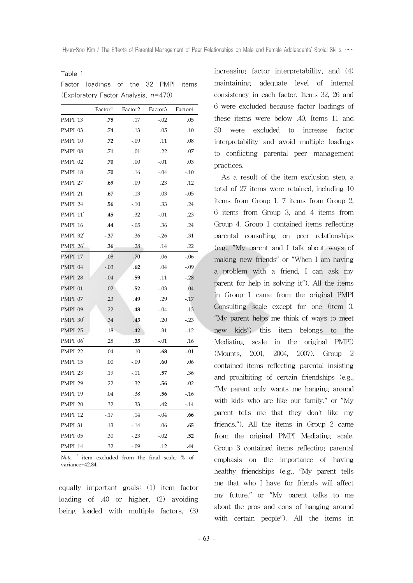Table 1

|                             | Factor1 | Factor <sub>2</sub> | Factor3 | Factor4 |
|-----------------------------|---------|---------------------|---------|---------|
| PMPI 13                     | .75     | .17                 | $-.02$  | .05     |
| PMPI 03                     | .74     | .13                 | .05     | .10     |
| PMPI 10                     | .72     | $-.09$              | .11     | .08     |
| PMPI 08                     | .71     | .01                 | .22     | .07     |
| PMPI 02                     | .70     | .00                 | $-.01$  | .03     |
| PMPI 18                     | .70     | .16                 | $-.04$  | $-10$   |
| <b>PMPI 27</b>              | .69     | .09                 | .23     | .12     |
| <b>PMPI 21</b>              | .67     | .13                 | .03     | -.05    |
| PMPI 24                     | .56     | $-10$               | .33     | .24     |
| PMPI 11*                    | .45     | .32                 | $-.01$  | .23     |
| PMPI 16                     | .44     | $-.05$              | .36     | .24     |
| <b>PMPI</b> 32 <sup>*</sup> | $-.37$  | .36                 | $-26$   | .31     |
| <b>PMPI 26</b>              | .36     | .28                 | .14     | .22     |
| PMPI 17                     | .08     | .70                 | .06     | $-.06$  |
| PMPI 04                     | $-.03$  | .62                 | .04     | -.09    |
| PMPI 28                     | $-.04$  | .59                 | .11     | $-.28$  |
| PMPI 01                     | .02     | .52                 | $-.03$  | .04     |
| PMPI 07                     | .23     | .49                 | .29     | $-17$   |
| <b>PMPI 09</b>              | .22     | .48                 | $-.04$  | .13     |
| <b>PMPI 30</b>              | .34     | .43                 | .20     | $-.23$  |
| PMPI <sub>25</sub>          | $-18$   | .42                 | .31     | $-12$   |
| <b>PMPI</b> 06 <sup>*</sup> | .28     | .35                 | $-.01$  | .16     |
| <b>PMPI 22</b>              | .04     | .10                 | .68     | $-.01$  |
| PMPI 15                     | .00     | $-0.09$             | .60     | .06     |
| PMPI <sub>23</sub>          | .19     | -.11                | .57     | .36     |
| <b>PMPI 29</b>              | .22     | .32                 | .56     | .02     |
| PMPI 19                     | .04     | .38                 | .56     | $-16$   |
| PMPI 20                     | .32     | .33                 | .42     | $-14$   |
| <b>PMPI 12</b>              | $-17$   | .14                 | $-.04$  | .66     |
| PMPI 31                     | .13     | $-14$               | .06     | .65     |
| PMPI 05                     | .30     | $-23$               | $-.02$  | .52     |
| PMPI 14                     | .32     | $-0.09$             | .12     | .44     |

Factor loadings of the 32 PMPI items (Exploratory Factor Analysis,  $n=470$ )

*Note.* \* item excluded from the final scale; % of variance=42.84.

equally important goals: (1) item factor loading of .40 or higher, (2) avoiding being loaded with multiple factors, (3) increasing factor interpretability, and (4) maintaining adequate level of internal consistency in each factor. Items 32, 26 and 6 were excluded because factor loadings of these items were below .40. Items 11 and 30 were excluded to increase factor interpretability and avoid multiple loadings to conflicting parental peer management practices.

As a result of the item exclusion step, a total of 27 items were retained, including 10 items from Group 1, 7 items from Group 2, 6 items from Group 3, and 4 items from Group 4. Group 1 contained items reflecting parental consulting on peer relationships (e.g., "My parent and I talk about ways of making new friends" or "When I am having a problem with a friend, I can ask my parent for help in solving it"). All the items in Group 1 came from the original PMPI Consulting scale except for one (item 3. "My parent helps me think of ways to meet new kids"; this item belongs to the Mediating scale in the original PMPI) (Mounts, 2001, 2004, 2007). Group 2 contained items reflecting parental insisting and prohibiting of certain friendships (e.g., "My parent only wants me hanging around with kids who are like our family." or "My parent tells me that they don't like my friends."). All the items in Group 2 came from the original PMPI Mediating scale. Group 3 contained items reflecting parental emphasis on the importance of having healthy friendships (e.g., "My parent tells me that who I have for friends will affect my future." or "My parent talks to me about the pros and cons of hanging around with certain people"). All the items in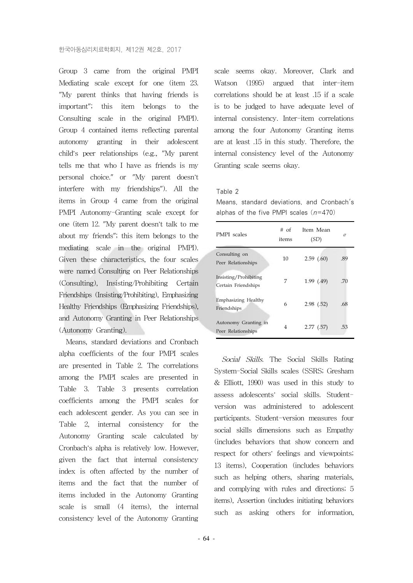Group 3 came from the original PMPI Mediating scale except for one (item 23. "My parent thinks that having friends is important"; this item belongs to the Consulting scale in the original PMPI). Group 4 contained items reflecting parental autonomy granting in their adolescent child's peer relationships (e.g., "My parent tells me that who I have as friends is my personal choice." or "My parent doesn't interfere with my friendships"). All the items in Group 4 came from the original PMPI Autonomy-Granting scale except for one (item 12. "My parent doesn't talk to me about my friends"; this item belongs to the mediating scale in the original PMPI). Given these characteristics, the four scales were named Consulting on Peer Relationships (Consulting), Insisting/Prohibiting Certain Friendships (Insisting/Prohibiting), Emphasizing Healthy Friendships (Emphasizing Friendships), and Autonomy Granting in Peer Relationships (Autonomy Granting).

Means, standard deviations and Cronbach alpha coefficients of the four PMPI scales are presented in Table 2. The correlations among the PMPI scales are presented in Table 3. Table 3 presents correlation coefficients among the PMPI scales for each adolescent gender. As you can see in Table 2, internal consistency for the Autonomy Granting scale calculated by Cronbach's alpha is relatively low. However, given the fact that internal consistency index is often affected by the number of items and the fact that the number of items included in the Autonomy Granting scale is small (4 items), the internal consistency level of the Autonomy Granting

scale seems okay. Moreover, Clark and Watson (1995) argued that inter-item correlations should be at least .15 if a scale is to be judged to have adequate level of internal consistency. Inter-item correlations among the four Autonomy Granting items are at least .15 in this study. Therefore, the internal consistency level of the Autonomy Granting scale seems okay.

#### Table 2

Means, standard deviations, and Cronbach's alphas of the five PMPI scales  $(n=470)$ 

| PMPI scales                                  | # of<br>items | Item Mean<br>(SD) | α   |
|----------------------------------------------|---------------|-------------------|-----|
| Consulting on<br>Peer Relationships          | 10            | 2.59(.60)         | .89 |
| Insisting/Prohibiting<br>Certain Friendships | 7             | 1.99(0.49)        | .70 |
| Emphasizing Healthy<br>Friendships           | 6             | 2.98(0.52)        | .68 |
| Autonomy Granting in<br>Peer Relationships   | 4             | 2.77(0.57)        | .53 |

Social Skills. The Social Skills Rating System-Social Skills scales (SSRS; Gresham & Elliott, 1990) was used in this study to assess adolescents' social skills. Studentversion was administered to adolescent participants. Student-version measures four social skills dimensions such as Empathy (includes behaviors that show concern and respect for others' feelings and viewpoints; 13 items), Cooperation (includes behaviors such as helping others, sharing materials, and complying with rules and directions; 5 items), Assertion (includes initiating behaviors such as asking others for information,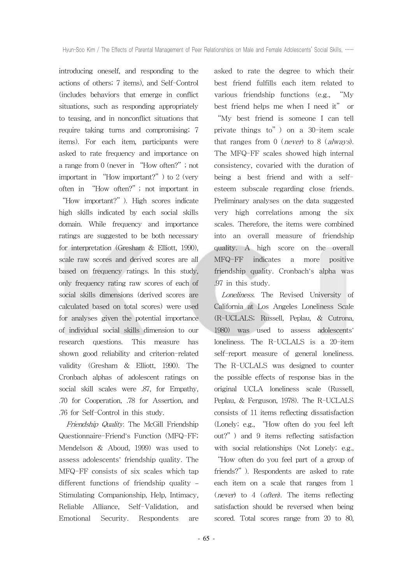introducing oneself, and responding to the actions of others; 7 items), and Self-Control (includes behaviors that emerge in conflict situations, such as responding appropriately to teasing, and in nonconflict situations that require taking turns and compromising; 7 items). For each item, participants were asked to rate frequency and importance on a range from 0 (never in "How often?"; not important in "How important?") to 2 (very often in "How often?"; not important in "How important?"). High scores indicate high skills indicated by each social skills domain. While frequency and importance ratings are suggested to be both necessary for interpretation (Gresham & Elliott, 1990), scale raw scores and derived scores are all based on frequency ratings. In this study, only frequency rating raw scores of each of social skills dimensions (derived scores are calculated based on total scores) were used for analyses given the potential importance of individual social skills dimension to our research questions. This measure has shown good reliability and criterion-related validity (Gresham & Elliott, 1990). The Cronbach alphas of adolescent ratings on social skill scales were .87, for Empathy, .70 for Cooperation, .78 for Assertion, and .76 for Self-Control in this study.

Friendship Quality. The McGill Friendship Questionnaire-Friend's Function (MFQ-FF; Mendelson & Aboud, 1999) was used to assess adolescents' friendship quality. The MFQ-FF consists of six scales which tap different functions of friendship quality – Stimulating Companionship, Help, Intimacy, Reliable Alliance, Self-Validation, and Emotional Security. Respondents are asked to rate the degree to which their best friend fulfills each item related to various friendship functions (e.g., "My best friend helps me when I need it" or

"My best friend is someone I can tell private things to") on a 30-item scale that ranges from  $0$  (*never*) to  $8$  (*always*). The MFQ-FF scales showed high internal consistency, covaried with the duration of being a best friend and with a selfesteem subscale regarding close friends. Preliminary analyses on the data suggested very high correlations among the six scales. Therefore, the items were combined into an overall measure of friendship quality. A high score on the overall MFQ-FF indicates a more positive friendship quality. Cronbach's alpha was .97 in this study.

Loneliness. The Revised University of California at Los Angeles Loneliness Scale (R-UCLALS; Russell, Peplau, & Cutrona, 1980) was used to assess adolescents' loneliness. The R-UCLALS is a 20-item self-report measure of general loneliness. The R-UCLALS was designed to counter the possible effects of response bias in the original UCLA loneliness scale (Russell, Peplau, & Ferguson, 1978). The R-UCLALS consists of 11 items reflecting dissatisfaction (Lonely; e.g., "How often do you feel left out?") and 9 items reflecting satisfaction with social relationships (Not Lonely; e.g.,

"How often do you feel part of a group of friends?"). Respondents are asked to rate each item on a scale that ranges from 1 (never) to 4 (often). The items reflecting satisfaction should be reversed when being scored. Total scores range from 20 to 80,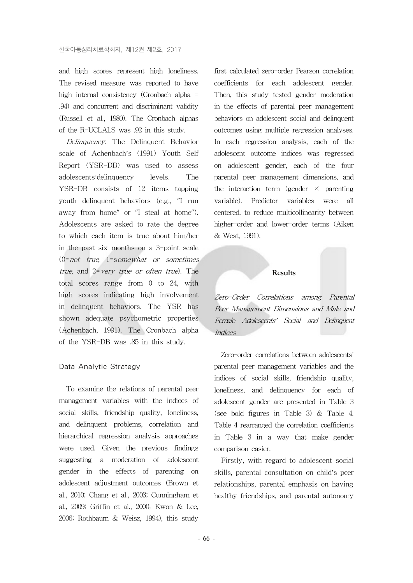and high scores represent high loneliness. The revised measure was reported to have high internal consistency (Cronbach alpha = .94) and concurrent and discriminant validity (Russell et al., 1980). The Cronbach alphas of the R-UCLALS was .92 in this study.

Delinquency. The Delinquent Behavior scale of Achenbach's (1991) Youth Self Report (YSR-DB) was used to assess adolescents'delinquency levels. The YSR-DB consists of 12 items tapping youth delinquent behaviors (e.g., "I run away from home" or "I steal at home"). Adolescents are asked to rate the degree to which each item is true about him/her in the past six months on a 3-point scale (0=not true, 1=somewhat or sometimes true, and 2=very true or often true). The total scores range from 0 to 24, with high scores indicating high involvement in delinquent behaviors. The YSR has shown adequate psychometric properties (Achenbach, 1991). The Cronbach alpha of the YSR-DB was .85 in this study.

### Data Analytic Strategy

To examine the relations of parental peer management variables with the indices of social skills, friendship quality, loneliness, and delinquent problems, correlation and hierarchical regression analysis approaches were used. Given the previous findings suggesting a moderation of adolescent gender in the effects of parenting on adolescent adjustment outcomes (Brown et al., 2010; Chang et al., 2003; Cunningham et al., 2009; Griffin et al., 2000; Kwon & Lee, 2006; Rothbaum & Weisz, 1994), this study first calculated zero-order Pearson correlation coefficients for each adolescent gender. Then, this study tested gender moderation in the effects of parental peer management behaviors on adolescent social and delinquent outcomes using multiple regression analyses. In each regression analysis, each of the adolescent outcome indices was regressed on adolescent gender, each of the four parental peer management dimensions, and the interaction term (gender  $\times$  parenting variable). Predictor variables were all centered, to reduce multicollinearity between higher-order and lower-order terms (Aiken & West, 1991).

#### **Results**

Zero-Order Correlations among Parental Peer Management Dimensions and Male and Female Adolescents' Social and Delinquent Indices

Zero-order correlations between adolescents' parental peer management variables and the indices of social skills, friendship quality, loneliness, and delinquency for each of adolescent gender are presented in Table 3 (see bold figures in Table 3) & Table 4. Table 4 rearranged the correlation coefficients in Table 3 in a way that make gender comparison easier.

Firstly, with regard to adolescent social skills, parental consultation on child's peer relationships, parental emphasis on having healthy friendships, and parental autonomy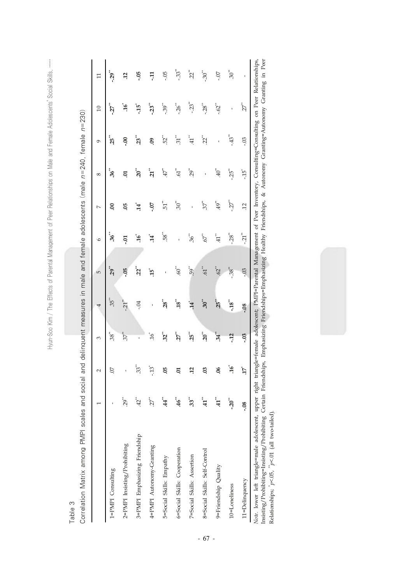$\begin{array}{c} \vdots \\ \vdots \\ \vdots \end{array}$ Hyun-Soo Kim / The Effects of Parental Management of Peer Relationships on Male and Female Adolescents' Social Skills, …… Hyun-Soo Kim / The Effects of Parental Management of Peer Relationships on Male and Female Adolescents' Social Skills,

Table 3

| ć<br>$n = 2$                                                     |   |
|------------------------------------------------------------------|---|
| $1$ fam:                                                         |   |
|                                                                  |   |
| $100$ mant measures in male and female adolescents (male $n=240$ | Þ |
|                                                                  |   |
|                                                                  |   |
|                                                                  |   |
|                                                                  |   |
| ;<br>د<br>î                                                      |   |
| <b>Rivos</b><br>j<br>١<br>Ī<br>ć<br>١                            |   |
|                                                                  |   |
| į                                                                |   |
|                                                                  |   |
|                                                                  |   |
| I<br>i<br>١                                                      |   |

|                                                         |                    | $\sim$               | 3                  |                          | 5                    | $\circ$             |                                          | 8                   | ó                  | $\overline{c}$      |                      |
|---------------------------------------------------------|--------------------|----------------------|--------------------|--------------------------|----------------------|---------------------|------------------------------------------|---------------------|--------------------|---------------------|----------------------|
| 1=PMPI Consulting                                       |                    | 50.                  | $.38^{\ast\ast}$   | $35$ <sup>**</sup>       | $.29$ **             | $36$ <sup>**</sup>  | S.                                       | $36$ <sup>**</sup>  | $25$ <sup>**</sup> | 27                  | $-29$ <sup>**</sup>  |
| 2=PMPI Insisting/Prohibiting                            | .<br>29            | ı                    | $37^{\ast\ast}$    | $-21$ <sup>**</sup>      | $\ddot{9}$           | Ë.                  | So.                                      | Ξ.                  | $5^{\circ}$        | $\mathbf{a}^*$      | $\ddot{5}$           |
| 3=PMPI Emphasizing Friendship                           | $42$ <sup>**</sup> | $33^*$               | ı                  | $-0.4$                   | $22$ <sup>**</sup>   | $\mathfrak{gl}$     | $14^*$                                   | $\mathbf{S}^*$      | $.23^{**}$         | $\ddot{5}$ .        | -05                  |
| 4=PMPI Autonomy-Granting                                | -22                | $\rm \ddot{c}t$ -    | $\mathfrak{gl}.$   | ı                        | $15^{\circ}$         | $14^*$              | -07                                      | $\ddot{z}$          | eg.                | $23$ <sup>**</sup>  | Ę                    |
| 5=Social Skills: Empathy                                | 4                  | 5O.                  | $32^{**}$          | $28$ <sup>**</sup>       | ı                    | $\mathbf{S}^*$      |                                          | $\mathcal{L}^+$ .   | $52$ <sup>**</sup> | $-0.39$             | $-0.5$               |
| 6=Social Skills: Cooperation                            | 46                 | Ξ,                   | $27$ <sup>**</sup> | $\mathbf{18}^{**}$       | $^{*}09$ .           | ï                   | $51$ <sup>**</sup><br>$30$ <sup>**</sup> | $^{*}$ po           | $\mathfrak{Z}^*$   | $-26$ <sup>**</sup> | $-.33$ <sup>**</sup> |
| 7=Social Skills: Assertion                              | 33**               | $\overline{12}$      | $25$ <sup>**</sup> | $14^{\degree}$           | $.59$ <sup>**</sup>  | $36^{**}$           | t,                                       | $.29$ <sup>**</sup> | $^{*}$ H.          | $-23$ <sup>**</sup> | $22$ <sup>**</sup>   |
| 8=Social Skills: Self-Control                           | E.                 | 3                    | $20^{**}$          | $.30^{**}$               | $\cdot 61$           | .67                 | 57                                       | ı                   | $22$ <sup>**</sup> | $-28$ <sup>**</sup> | $\mathbf{30}^{**}$   |
| 9=Friendship Quality                                    | 41                 | 90.                  | $34^{**}$          | $.25***$                 | .62                  | $^{*}$ H.           | $^{49}$                                  | $^{*}40$            | ı                  | $-62$               | $\angle 0$ -         |
| 10=Loneliness                                           | $-20^{**}$         | $\mathbf{a}^*$       | $-12$              | $-18"$                   | $-38^{**}$           | $-28$ <sup>**</sup> | $-27$                                    | $.25$ <sup>**</sup> | $-.43"$            |                     | $\mathrm{^{30}$      |
| 11=Delinquency                                          | $-0.8$             | $17^{\circ}$         | $-0.3$             | $-0.8$                   | $03$ .               | $-21$               | Ξ.                                       | לה.<br>ה            | $-0.5$             | $27$ <sup>**</sup>  |                      |
| $\begin{bmatrix} 1 & 1 \\ 1 & 1 \\ 1 & 1 \end{bmatrix}$ |                    | $\ddot{\phantom{a}}$ | $\frac{1}{2}$      | $\overline{\phantom{a}}$ | $\ddot{\phantom{0}}$ | $\frac{1}{2}$       |                                          |                     | $\ddot{ }$         | $\overline{a}$      | $\frac{1}{2}$        |

Note. lower left triangle=male adolescent, upper right triangle=female adolescent; PMP1=Parental Management of Peer Inventory, Consulting=Consulting on Peer Relationships,<br>Insisting/Prohibiting=Insisting/Prohibiting Certai *Note.* lower left triangle=male adolescent, upper right triangle=female adolescent; PMPI=Parental Management of Peer Inventory, Consulting=Consulting on Peer Relationships, Insisting/Prohibiting=Insisting/Prohibiting Certain Friendships, Emphasizing Friendships=Emphasizing Healthy Friendships, & Autonomy Granting=Autonomy Granting in Peer Relationships;  $p<.05$ ,  $p<.01$  (all two-tailed). Relationships; \**p*<.05, \*\**p*<.01 (all two-tailed).

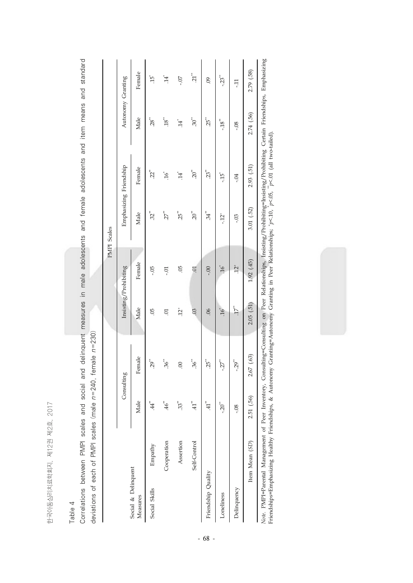한국아동심리치료학회지, 제12권 제2호, 2017 한국아동심리치료학회지, 제12권 제2호, 2017

# Table 4

Correlations between PMPI scales and social and delinquent measures in male adolescents and female adolescents and item means and standard Correlations between PMPI scales and social and delinquent measures in male adolescents and female adolescents and item means and standard deviations of each of PMPI scales (male  $n=240$ , female  $n=230$ ) deviations of each of PMPI scales (male n=240, female n=230)

|                                                        |                |                    |                   |                    |                                                                                                                | PMPI Scales         |                        |                    |                     |
|--------------------------------------------------------|----------------|--------------------|-------------------|--------------------|----------------------------------------------------------------------------------------------------------------|---------------------|------------------------|--------------------|---------------------|
|                                                        |                | Consulting         |                   |                    | Insisting/Prohibiting                                                                                          |                     | Emphasizing Friendship | Autonomy Granting  |                     |
| Social & Delinquent<br>Measures                        |                | Male               | Female            | Male               | Female                                                                                                         | Male                | Female                 | Male               | Female              |
| Social Skills                                          | Empathy        | $^{*}$ ++.         | $.29^{**}$        | SQ.                | -.05                                                                                                           | $32$ <sup>**</sup>  | $22$ <sup>**</sup>     | $28^{**}$          | $\tilde{G}$ .       |
|                                                        | Cooperation    | $\mathcal{H}^*$    | $36^{**}$         | Ξ.                 | Ξ.                                                                                                             | 27                  | $\mathfrak{H}.$        | $18^{\ast\ast}$    | $14^*$              |
|                                                        | Assertion      | $33$ <sup>**</sup> | 00                | $\ddot{2}^*$       | $\ddot{\circ}$                                                                                                 | $.25$ <sup>**</sup> | 14                     | $\dot{A}$          | $-0$ .              |
|                                                        | Self-Control   | $^{*}$ H.          | $36^{**}$         | .03                | $\overline{C}$                                                                                                 | $20^{**}$           | $20^{**}$              | $30^{**}$          | $21$ <sup>**</sup>  |
| Friendship Quality                                     |                | $^{*}$ H.          | $25$ <sup>*</sup> | 90.                | $00 -$                                                                                                         | 34.                 | $23$ <sup>**</sup>     | $25$ <sup>**</sup> | $\ddot{\mathrm{S}}$ |
| Loneliness                                             |                | $-20^{**}$         | $-27$             | $\ddot{\theta}^*$  | $\tilde{\mathcal{L}}$                                                                                          | $-12^{+}$           | ה<br>לך-               | $-18$ $^{**}$      | $-23$ <sup>**</sup> |
| Delinquency                                            |                | $-0.8$             | $-29^{**}$        | $17$ <sup>**</sup> | $\ddot{2}$                                                                                                     | $-0.3$              | -04                    | $-0.8$             | Ę                   |
|                                                        | Item Mean (SD) | 2.51 (.56)         | 2.67 (.63)        | 2.05(51)           | $(45)$ 20.1                                                                                                    | 3.01 (.52)          | 2.93(51)               | 2.74 (.56)         | 2.79 (.58)          |
| $N_{0.4a}$ DMDI=Davantal Management of Davi Invantance |                |                    |                   |                    | Condition=Condition on Poor Polationaling Indition=Decktion=Lodgition=Contribution=Contribution=Emionalding=Em |                     |                        |                    |                     |

*Note.* FMI/1=Farental Management ot Feer Inventory, Consulting=Consulting on Feer Kelationsinps, Insisting/Frohibiting=Insisting/Frohibiting Certain Friendships, Emphasizing<br>Friendships=Emphasizing Healthy Friendships, & *Note.* PMPI=Parental Management of Peer Inventory, Consulting=Consulting on Peer Relationships, Insisting/Prohibiting=Insisting/Prohibiting Certain Friendships, Emphasizing Friendships=Emphasizing Healthy Friendships, & Autonomy Granting=Autonomy Granting in Peer Relationships; +*p*<.10, \**p*<.05, \*\**p*<.01 (all two-tailed).

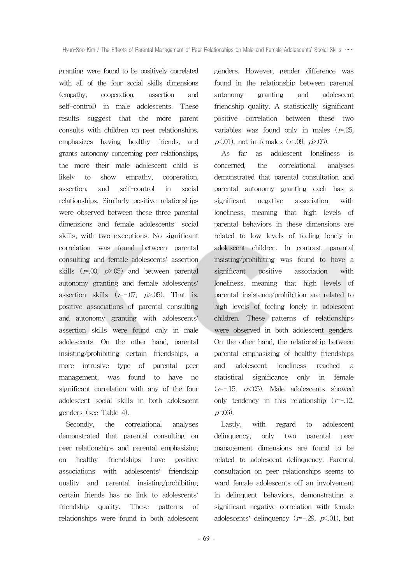granting were found to be positively correlated with all of the four social skills dimensions (empathy, cooperation, assertion and self-control) in male adolescents. These results suggest that the more parent consults with children on peer relationships, emphasizes having healthy friends, and grants autonomy concerning peer relationships, the more their male adolescent child is likely to show empathy, cooperation, assertion, and self-control in social relationships. Similarly positive relationships were observed between these three parental dimensions and female adolescents' social skills, with two exceptions. No significant correlation was found between parental consulting and female adolescents' assertion skills  $(r=00, p>0.05)$  and between parental autonomy granting and female adolescents' assertion skills  $(r=-.07, p>0.05)$ . That is, positive associations of parental consulting and autonomy granting with adolescents' assertion skills were found only in male adolescents. On the other hand, parental insisting/prohibiting certain friendships, a more intrusive type of parental peer management, was found to have no significant correlation with any of the four adolescent social skills in both adolescent genders (see Table 4).

Secondly, the correlational analyses demonstrated that parental consulting on peer relationships and parental emphasizing on healthy friendships have positive associations with adolescents' friendship quality and parental insisting/prohibiting certain friends has no link to adolescents' friendship quality. These patterns of relationships were found in both adolescent

genders. However, gender difference was found in the relationship between parental autonomy granting and adolescent friendship quality. A statistically significant positive correlation between these two variables was found only in males  $(r=.25)$ ,  $p\text{\textless}01$ , not in females ( $r=0.09$ ,  $p\text{\textless}05$ ).

As far as adolescent loneliness is concerned, the correlational analyses demonstrated that parental consultation and parental autonomy granting each has a significant negative association with loneliness, meaning that high levels of parental behaviors in these dimensions are related to low levels of feeling lonely in adolescent children. In contrast, parental insisting/prohibiting was found to have a significant positive association with loneliness, meaning that high levels of parental insistence/prohibition are related to high levels of feeling lonely in adolescent children. These patterns of relationships were observed in both adolescent genders. On the other hand, the relationship between parental emphasizing of healthy friendships and adolescent loneliness reached a statistical significance only in female  $(r=-.15, p<.05)$ . Male adolescents showed only tendency in this relationship  $(r=-.12,$  $p = 06$ ).

Lastly, with regard to adolescent delinquency, only two parental peer management dimensions are found to be related to adolescent delinquency. Parental consultation on peer relationships seems to ward female adolescents off an involvement in delinquent behaviors, demonstrating a significant negative correlation with female adolescents' delinquency ( $r=-.29$ ,  $p\lt 0.01$ ), but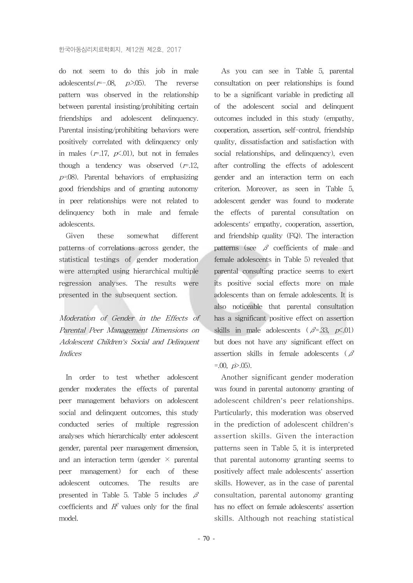do not seem to do this job in male adolescents( $r=-.08$ ,  $p>0.05$ ). The reverse pattern was observed in the relationship between parental insisting/prohibiting certain friendships and adolescent delinquency. Parental insisting/prohibiting behaviors were positively correlated with delinquency only in males  $(r=17, p\le 01)$ , but not in females though a tendency was observed  $(r=12,$  $p=08$ ). Parental behaviors of emphasizing good friendships and of granting autonomy in peer relationships were not related to delinquency both in male and female adolescents.

Given these somewhat different patterns of correlations across gender, the statistical testings of gender moderation were attempted using hierarchical multiple regression analyses. The results were presented in the subsequent section.

Moderation of Gender in the Effects of Parental Peer Management Dimensions on Adolescent Children's Social and Delinquent Indices

In order to test whether adolescent gender moderates the effects of parental peer management behaviors on adolescent social and delinquent outcomes, this study conducted series of multiple regression analyses which hierarchically enter adolescent gender, parental peer management dimension, and an interaction term (gender  $\times$  parental peer management) for each of these adolescent outcomes. The results are presented in Table 5. Table 5 includes  $\beta$ coefficients and  $R^2$  values only for the final model.

As you can see in Table 5, parental consultation on peer relationships is found to be a significant variable in predicting all of the adolescent social and delinquent outcomes included in this study (empathy, cooperation, assertion, self-control, friendship quality, dissatisfaction and satisfaction with social relationships, and delinquency), even after controlling the effects of adolescent gender and an interaction term on each criterion. Moreover, as seen in Table 5, adolescent gender was found to moderate the effects of parental consultation on adolescents' empathy, cooperation, assertion, and friendship quality (FQ). The interaction patterns (see  $\beta$  coefficients of male and female adolescents in Table 5) revealed that parental consulting practice seems to exert its positive social effects more on male adolescents than on female adolescents. It is also noticeable that parental consultation has a significant positive effect on assertion skills in male adolescents ( $\beta$ =.33,  $p\text{\textless}01$ ) but does not have any significant effect on assertion skills in female adolescents ( $\beta$  $=0.00, p > 0.05$ .

Another significant gender moderation was found in parental autonomy granting of adolescent children's peer relationships. Particularly, this moderation was observed in the prediction of adolescent children's assertion skills. Given the interaction patterns seen in Table 5, it is interpreted that parental autonomy granting seems to positively affect male adolescents' assertion skills. However, as in the case of parental consultation, parental autonomy granting has no effect on female adolescents' assertion skills. Although not reaching statistical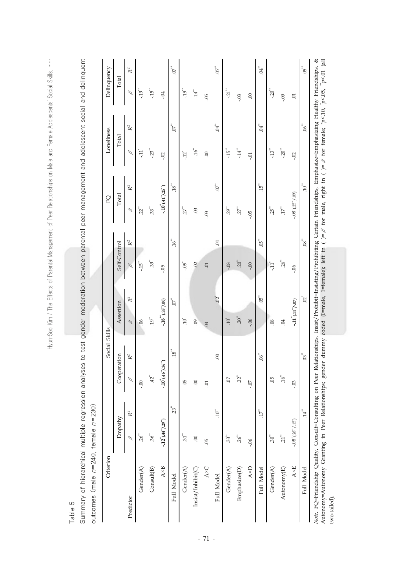Hyun-Soo Kim / The Effects of Parental Management of Peer Relationships on Male and Female Adolescents' Social Skills, ...... Hyun-Soo Kim / The Effects of Parental Management of Peer Relationships on Male and Female Adolescents' Social Skills, ……

Table 5

| $\frac{1}{2}$<br>analyses to test gender moderation between parental peer management and adolescent social and delingu                                                                                                                                                                                                                                                                                           |                                                                    |
|------------------------------------------------------------------------------------------------------------------------------------------------------------------------------------------------------------------------------------------------------------------------------------------------------------------------------------------------------------------------------------------------------------------|--------------------------------------------------------------------|
|                                                                                                                                                                                                                                                                                                                                                                                                                  |                                                                    |
|                                                                                                                                                                                                                                                                                                                                                                                                                  |                                                                    |
|                                                                                                                                                                                                                                                                                                                                                                                                                  |                                                                    |
|                                                                                                                                                                                                                                                                                                                                                                                                                  |                                                                    |
| S<br>C                                                                                                                                                                                                                                                                                                                                                                                                           |                                                                    |
| $\begin{array}{c} \hline \rule{0pt}{2ex} \rule{0pt}{2ex} \rule{0pt}{2ex} \rule{0pt}{2ex} \rule{0pt}{2ex} \rule{0pt}{2ex} \rule{0pt}{2ex} \rule{0pt}{2ex} \rule{0pt}{2ex} \rule{0pt}{2ex} \rule{0pt}{2ex} \rule{0pt}{2ex} \rule{0pt}{2ex} \rule{0pt}{2ex} \rule{0pt}{2ex} \rule{0pt}{2ex} \rule{0pt}{2ex} \rule{0pt}{2ex} \rule{0pt}{2ex} \rule{0pt}{2ex} \rule{0pt}{2ex} \rule{0pt}{2ex} \rule{0pt}{2ex} \rule{$ | I<br>í<br>$\frac{1}{2}$<br>I<br>$\overline{\phantom{a}}$<br>1<br>ļ |
|                                                                                                                                                                                                                                                                                                                                                                                                                  | $\frac{1}{2}$<br>$\frac{1}{2}$<br>-<br>-<br>-<br>-                 |
| Í                                                                                                                                                                                                                                                                                                                                                                                                                |                                                                    |

| $18^{\ast}$<br>Cooperation<br>$\mathbb{R}^2$<br>$-10^{\degree}$ $(.46^{\degree}$ $/0.36^{\degree})$<br>$42^{\circ}$<br>$\mathscr{S}$<br>95<br>$\odot$<br>$00$ .<br>$\Xi$<br>$23^{**}$<br>$\mathbb{R}^2$<br>Empathy<br>$-.12$ $(.442/292)$<br>36"<br>$26^{**}$<br>51"<br>P<br>$\odot$<br>-.05<br>$A \times C$<br>$A \times B$<br>Gender(A)<br>Consult(B)<br>$\text{Insist}/\text{Inhibit}(\text{\textcircled{C}})$<br>Gender(A)<br>Full Model<br>Predictor | $\mathbb{R}^2$<br>$5^{*}$<br>$-18^{*4} (.33^{*4} / 00)$<br>Assertion<br>$19^{**}$<br>$10^{\circ}$<br>$\beta$<br>$\overline{6}$<br>06<br>$-0.4$ | $16$ <sup>**</sup><br>$\mathbb{R}^2$<br>Self-Control<br>$.39***$<br>׆֓֓֓ <sup>֓</sup> ֧֧֓֬֜֩֕֓<br>$\approx$<br>°9.<br>P<br>-.05 | $\overline{18}^*$<br>$\mathbb{R}^2$<br>$-10^{\degree} (41^{\degree} / 25^{\degree})$<br>Total<br>33 <sup>44</sup><br>$22^{**}$<br>27"<br>$\ddot{\circ}$<br>$\mathscr{S}$ | $\mathbb{R}^2$<br>Total<br>$-23$<br>$\mathscr{S}$<br>Ē<br>-.02 | $\mathbb{R}^2$<br>Total<br>$\mathscr{S}$ |
|-----------------------------------------------------------------------------------------------------------------------------------------------------------------------------------------------------------------------------------------------------------------------------------------------------------------------------------------------------------------------------------------------------------------------------------------------------------|------------------------------------------------------------------------------------------------------------------------------------------------|---------------------------------------------------------------------------------------------------------------------------------|--------------------------------------------------------------------------------------------------------------------------------------------------------------------------|----------------------------------------------------------------|------------------------------------------|
|                                                                                                                                                                                                                                                                                                                                                                                                                                                           |                                                                                                                                                |                                                                                                                                 |                                                                                                                                                                          |                                                                |                                          |
|                                                                                                                                                                                                                                                                                                                                                                                                                                                           |                                                                                                                                                |                                                                                                                                 |                                                                                                                                                                          |                                                                |                                          |
|                                                                                                                                                                                                                                                                                                                                                                                                                                                           |                                                                                                                                                |                                                                                                                                 |                                                                                                                                                                          |                                                                | $-19^{**}$                               |
|                                                                                                                                                                                                                                                                                                                                                                                                                                                           |                                                                                                                                                |                                                                                                                                 |                                                                                                                                                                          |                                                                | יין<br>כבי                               |
|                                                                                                                                                                                                                                                                                                                                                                                                                                                           |                                                                                                                                                |                                                                                                                                 |                                                                                                                                                                          |                                                                | $-0.4$                                   |
|                                                                                                                                                                                                                                                                                                                                                                                                                                                           |                                                                                                                                                |                                                                                                                                 |                                                                                                                                                                          | $5^*$                                                          | ${10}^{\ast}$                            |
|                                                                                                                                                                                                                                                                                                                                                                                                                                                           |                                                                                                                                                |                                                                                                                                 |                                                                                                                                                                          | ≃.<br>בי                                                       | -19"                                     |
|                                                                                                                                                                                                                                                                                                                                                                                                                                                           |                                                                                                                                                |                                                                                                                                 |                                                                                                                                                                          | $16^{**}$                                                      | '‡                                       |
|                                                                                                                                                                                                                                                                                                                                                                                                                                                           |                                                                                                                                                | $-0.1$                                                                                                                          | $-03$                                                                                                                                                                    | $\odot$                                                        | $-0.5$                                   |
| $\approx$<br>$10^{44}$<br>Full Model                                                                                                                                                                                                                                                                                                                                                                                                                      | $02^*$                                                                                                                                         | S                                                                                                                               | $07^{\circ\circ}$                                                                                                                                                        | ้ัน.                                                           | $\tilde{\sigma}$                         |
| $\overline{0}$<br>$33$ <sup>**</sup><br>Gender(A)                                                                                                                                                                                                                                                                                                                                                                                                         | $10^{\circ}$                                                                                                                                   | $-0.08$                                                                                                                         | $29^{\circ}$                                                                                                                                                             | $-15$                                                          | $-21$ <sup>**</sup>                      |
| $2^{n}$<br>$26^{**}$<br>Emphasize(D)                                                                                                                                                                                                                                                                                                                                                                                                                      | $20^{**}$                                                                                                                                      | $20^{**}$                                                                                                                       | $27^{\circ}$                                                                                                                                                             | $-14"$                                                         | $-0.03$                                  |
| $-0$<br>$-0.6$<br>$A\times D$                                                                                                                                                                                                                                                                                                                                                                                                                             | $-06$                                                                                                                                          | $-0.0$                                                                                                                          | $-0.5$                                                                                                                                                                   | io.                                                            | 00                                       |
| $.06$ $^{**}$<br>$17^{\circ}$<br>Full Model                                                                                                                                                                                                                                                                                                                                                                                                               | $05^{\circ}$                                                                                                                                   | ີ້                                                                                                                              | 15"                                                                                                                                                                      | ្មី<br>ស្រុ                                                    | i<br>E                                   |
| 9<br>30*<br>Gender(A)                                                                                                                                                                                                                                                                                                                                                                                                                                     | 08                                                                                                                                             | Ę                                                                                                                               | 25"                                                                                                                                                                      | $-13"$                                                         | $-20^{**}$                               |
| $16^{**}$<br>$\ddot{z}$<br>Autonomy(E)                                                                                                                                                                                                                                                                                                                                                                                                                    | $\ddot{c}$                                                                                                                                     | $26^{**}$                                                                                                                       | $17^{\circ}$                                                                                                                                                             | $-20^{**}$                                                     | $-0.9$                                   |
| 03<br>$-.08^{\circ}(.28^{\circ}/.15^{\circ})$<br>$A \times E$                                                                                                                                                                                                                                                                                                                                                                                             | $-11^{\degree} (14^{\degree}/-07)$                                                                                                             | 90.-                                                                                                                            | $-0.08^{+}(25^{+}/.09)$                                                                                                                                                  | $-0$ .                                                         | Ξ.                                       |
| $03$ <sup>**</sup><br>$14$ <sup>**</sup><br>Full Model                                                                                                                                                                                                                                                                                                                                                                                                    | $\overline{S}$                                                                                                                                 | $.08^{\ast\ast}$                                                                                                                | $\overline{10}^{**}$                                                                                                                                                     | 56                                                             | $05$ <sup>**</sup>                       |

two-tailed).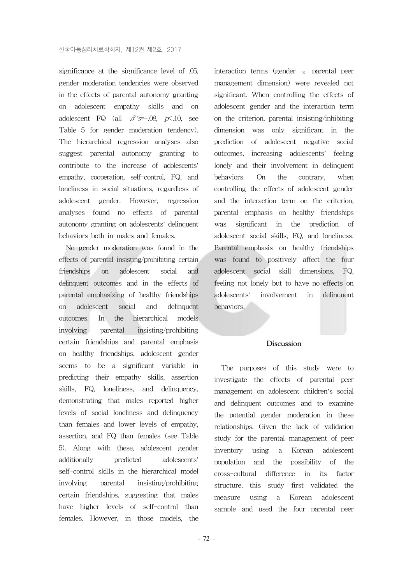significance at the significance level of .05, gender moderation tendencies were observed in the effects of parental autonomy granting on adolescent empathy skills and on adolescent FQ (all  $\beta$ 's=-.08, p $\times$ .10, see Table 5 for gender moderation tendency). The hierarchical regression analyses also suggest parental autonomy granting to contribute to the increase of adolescents' empathy, cooperation, self-control, FQ, and loneliness in social situations, regardless of adolescent gender. However, regression analyses found no effects of parental autonomy granting on adolescents' delinquent behaviors both in males and females.

No gender moderation was found in the effects of parental insisting/prohibiting certain friendships on adolescent social and delinquent outcomes and in the effects of parental emphasizing of healthy friendships on adolescent social and delinquent outcomes. In the hierarchical models involving parental insisting/prohibiting certain friendships and parental emphasis on healthy friendships, adolescent gender seems to be a significant variable in predicting their empathy skills, assertion skills, FQ, loneliness, and delinquency, demonstrating that males reported higher levels of social loneliness and delinquency than females and lower levels of empathy, assertion, and FQ than females (see Table 5). Along with these, adolescent gender additionally predicted adolescents' self-control skills in the hierarchical model involving parental insisting/prohibiting certain friendships, suggesting that males have higher levels of self-control than females. However, in those models, the

interaction terms (gender  $\times$  parental peer management dimension) were revealed not significant. When controlling the effects of adolescent gender and the interaction term on the criterion, parental insisting/inhibiting dimension was only significant in the prediction of adolescent negative social outcomes, increasing adolescents' feeling lonely and their involvement in delinquent behaviors. On the contrary, when controlling the effects of adolescent gender and the interaction term on the criterion, parental emphasis on healthy friendships was significant in the prediction of adolescent social skills, FQ, and loneliness. Parental emphasis on healthy friendships was found to positively affect the four adolescent social skill dimensions, FQ, feeling not lonely but to have no effects on adolescents' involvement in delinquent behaviors.

#### **Discussion**

The purposes of this study were to investigate the effects of parental peer management on adolescent children's social and delinquent outcomes and to examine the potential gender moderation in these relationships. Given the lack of validation study for the parental management of peer inventory using a Korean adolescent population and the possibility of the cross-cultural difference in its factor structure, this study first validated the measure using a Korean adolescent sample and used the four parental peer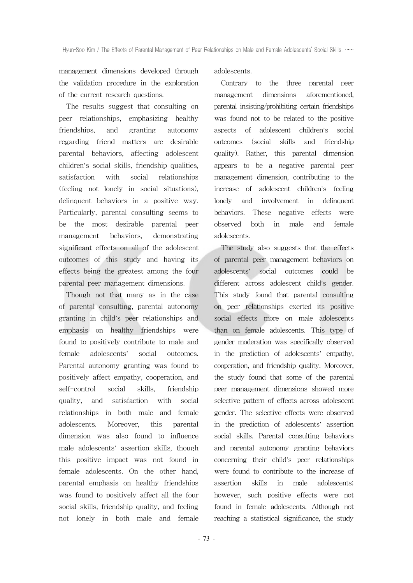management dimensions developed through the validation procedure in the exploration of the current research questions.

The results suggest that consulting on peer relationships, emphasizing healthy friendships, and granting autonomy regarding friend matters are desirable parental behaviors, affecting adolescent children's social skills, friendship qualities, satisfaction with social relationships (feeling not lonely in social situations), delinquent behaviors in a positive way. Particularly, parental consulting seems to be the most desirable parental peer management behaviors, demonstrating significant effects on all of the adolescent outcomes of this study and having its effects being the greatest among the four parental peer management dimensions.

Though not that many as in the case of parental consulting, parental autonomy granting in child's peer relationships and emphasis on healthy friendships were found to positively contribute to male and female adolescents' social outcomes. Parental autonomy granting was found to positively affect empathy, cooperation, and self-control social skills, friendship quality, and satisfaction with social relationships in both male and female adolescents. Moreover, this parental dimension was also found to influence male adolescents' assertion skills, though this positive impact was not found in female adolescents. On the other hand, parental emphasis on healthy friendships was found to positively affect all the four social skills, friendship quality, and feeling not lonely in both male and female adolescents.

Contrary to the three parental peer management dimensions aforementioned, parental insisting/prohibiting certain friendships was found not to be related to the positive aspects of adolescent children's social outcomes (social skills and friendship quality). Rather, this parental dimension appears to be a negative parental peer management dimension, contributing to the increase of adolescent children's feeling lonely and involvement in delinquent behaviors. These negative effects were observed both in male and female adolescents.

The study also suggests that the effects of parental peer management behaviors on adolescents' social outcomes could be different across adolescent child's gender. This study found that parental consulting on peer relationships exerted its positive social effects more on male adolescents than on female adolescents. This type of gender moderation was specifically observed in the prediction of adolescents' empathy, cooperation, and friendship quality. Moreover, the study found that some of the parental peer management dimensions showed more selective pattern of effects across adolescent gender. The selective effects were observed in the prediction of adolescents' assertion social skills. Parental consulting behaviors and parental autonomy granting behaviors concerning their child's peer relationships were found to contribute to the increase of assertion skills in male adolescents; however, such positive effects were not found in female adolescents. Although not reaching a statistical significance, the study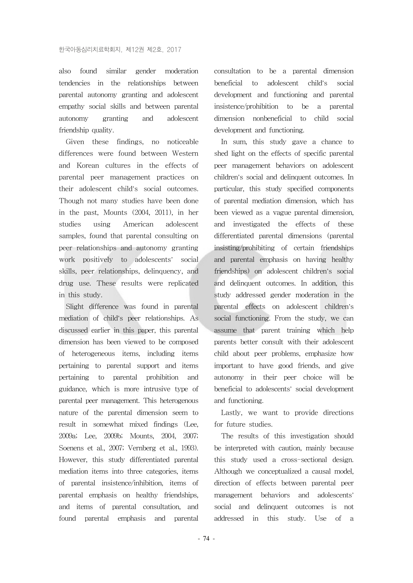also found similar gender moderation tendencies in the relationships between parental autonomy granting and adolescent empathy social skills and between parental autonomy granting and adolescent friendship quality.

Given these findings, no noticeable differences were found between Western and Korean cultures in the effects of parental peer management practices on their adolescent child's social outcomes. Though not many studies have been done in the past, Mounts (2004, 2011), in her studies using American adolescent samples, found that parental consulting on peer relationships and autonomy granting work positively to adolescents' social skills, peer relationships, delinquency, and drug use. These results were replicated in this study.

Slight difference was found in parental mediation of child's peer relationships. As discussed earlier in this paper, this parental dimension has been viewed to be composed of heterogeneous items, including items pertaining to parental support and items pertaining to parental prohibition and guidance, which is more intrusive type of parental peer management. This heterogenous nature of the parental dimension seem to result in somewhat mixed findings (Lee, 2009a; Lee, 2009b; Mounts, 2004, 2007; Soenens et al., 2007; Vernberg et al., 1993). However, this study differentiated parental mediation items into three categories, items of parental insistence/inhibition, items of parental emphasis on healthy friendships, and items of parental consultation, and found parental emphasis and parental

consultation to be a parental dimension beneficial to adolescent child's social development and functioning and parental insistence/prohibition to be a parental dimension nonbeneficial to child social development and functioning.

In sum, this study gave a chance to shed light on the effects of specific parental peer management behaviors on adolescent children's social and delinquent outcomes. In particular, this study specified components of parental mediation dimension, which has been viewed as a vague parental dimension, and investigated the effects of these differentiated parental dimensions (parental insisting/prohibiting of certain friendships and parental emphasis on having healthy friendships) on adolescent children's social and delinquent outcomes. In addition, this study addressed gender moderation in the parental effects on adolescent children's social functioning. From the study, we can assume that parent training which help parents better consult with their adolescent child about peer problems, emphasize how important to have good friends, and give autonomy in their peer choice will be beneficial to adolescents' social development and functioning.

Lastly, we want to provide directions for future studies.

The results of this investigation should be interpreted with caution, mainly because this study used a cross-sectional design. Although we conceptualized a causal model, direction of effects between parental peer management behaviors and adolescents' social and delinquent outcomes is not addressed in this study. Use of a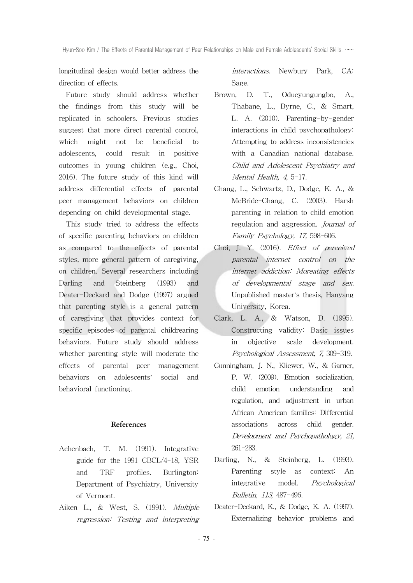longitudinal design would better address the direction of effects.

Future study should address whether the findings from this study will be replicated in schoolers. Previous studies suggest that more direct parental control, which might not be beneficial to adolescents, could result in positive outcomes in young children (e.g., Choi, 2016). The future study of this kind will address differential effects of parental peer management behaviors on children depending on child developmental stage.

This study tried to address the effects of specific parenting behaviors on children as compared to the effects of parental styles, more general pattern of caregiving, on children. Several researchers including Darling and Steinberg (1993) and Deater-Deckard and Dodge (1997) argued that parenting style is a general pattern of caregiving that provides context for specific episodes of parental childrearing behaviors. Future study should address whether parenting style will moderate the effects of parental peer management behaviors on adolescents' social and behavioral functioning.

#### **References**

- Achenbach, T. M. (1991). Integrative guide for the 1991 CBCL/4-18, YSR and TRF profiles. Burlington: Department of Psychiatry, University of Vermont.
- Aiken L., & West, S. (1991). Multiple regression: Testing and interpreting

interactions. Newbury Park, CA: Sage.

- Brown, D. T., Odueyungungbo, A., Thabane, L., Byrne, C., & Smart, L. A. (2010). Parenting-by-gender interactions in child psychopathology: Attempting to address inconsistencies with a Canadian national database. Child and Adolescent Psychiatry and Mental Health, 4, 5-17.
- Chang, L., Schwartz, D., Dodge, K. A., & McBride-Chang, C. (2003). Harsh parenting in relation to child emotion regulation and aggression. Journal of Family Psychology, 17, 598-606.
- Choi, J. Y. (2016). Effect of perceived parental internet control on the internet addiction: Moreating effects of developmental stage and sex. Unpublished master's thesis, Hanyang University, Korea.
- Clark, L. A., & Watson, D. (1995). Constructing validity: Basic issues in objective scale development. Psychological Assessment, 7, 309-319.
- Cunningham, J. N., Kliewer, W., & Garner, P. W. (2009). Emotion socialization, child emotion understanding and regulation, and adjustment in urban African American families: Differential associations across child gender. Development and Psychopathology, 21, 261-283.
- Darling, N., & Steinberg, L. (1993). Parenting style as context: An integrative model. Psychological Bulletin, 113, 487-496.
- Deater-Deckard, K., & Dodge, K. A. (1997). Externalizing behavior problems and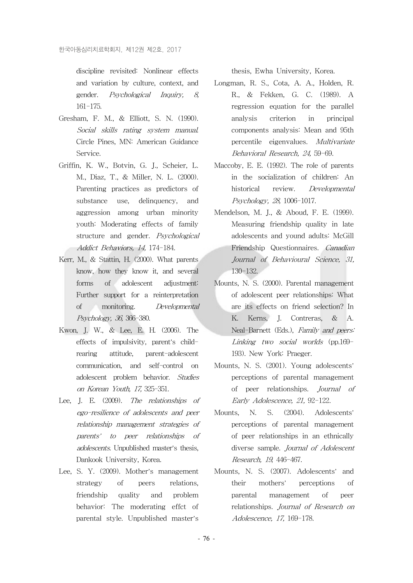discipline revisited: Nonlinear effects and variation by culture, context, and gender. Psychological Inquiry, 8, 161-175.

- Gresham, F. M., & Elliott, S. N. (1990). Social skills rating system manual. Circle Pines, MN: American Guidance Service.
- Griffin, K. W., Botvin, G. J., Scheier, L. M., Diaz, T., & Miller, N. L. (2000). Parenting practices as predictors of substance use, delinquency, and aggression among urban minority youth: Moderating effects of family structure and gender. Psychological Addict Behaviors, 14, 174-184.
- Kerr, M., & Stattin, H. (2000). What parents know, how they know it, and several forms of adolescent adjustment: Further support for a reinterpretation of monitoring. Developmental Psychology, 36, 366-380.
- Kwon, J. W., & Lee, E. H. (2006). The effects of impulsivity, parent's childrearing attitude, parent-adolescent communication, and self-control on adolescent problem behavior. Studies on Korean Youth, 17, 325-351.
- Lee, J. E. (2009). The relationships of ego-resilience of adolescents and peer relationship management strategies of parents' to peer relationships of adolescents. Unpublished master's thesis, Dankook University, Korea.
- Lee, S. Y. (2009). Mother's management strategy of peers relations, friendship quality and problem behavior: The moderating effct of parental style. Unpublished master's

thesis, Ewha University, Korea.

- Longman, R. S., Cota, A. A., Holden, R. R., & Fekken, G. C. (1989). A regression equation for the parallel analysis criterion in principal components analysis: Mean and 95th percentile eigenvalues. Multivariate Behavioral Research, 24, 59-69.
- Maccoby, E. E. (1992). The role of parents in the socialization of children: An historical review. Developmental Psychology, 28, 1006-1017.
- Mendelson, M. J., & Aboud, F. E. (1999). Measuring friendship quality in late adolescents and yound adults: McGill Friendship Questionnaires. Canadian Journal of Behavioural Science, 31, 130-132.
- Mounts, N. S. (2000). Parental management of adolescent peer relationships: What are its effects on friend selection? In K. Kerns, J. Contreras, & A. Neal-Barnett (Eds.), Family and peers: Linking two social worlds (pp.169- 193). New York: Praeger.
- Mounts, N. S. (2001). Young adolescents' perceptions of parental management of peer relationships. Journal of Early Adolescence, 21, 92-122.
- Mounts, N. S. (2004). Adolescents' perceptions of parental management of peer relationships in an ethnically diverse sample. *Journal of Adolescent* Research, 19, 446-467.
- Mounts, N. S. (2007). Adolescents' and their mothers' perceptions of parental management of peer relationships. Journal of Research on Adolescence, 17, 169-178.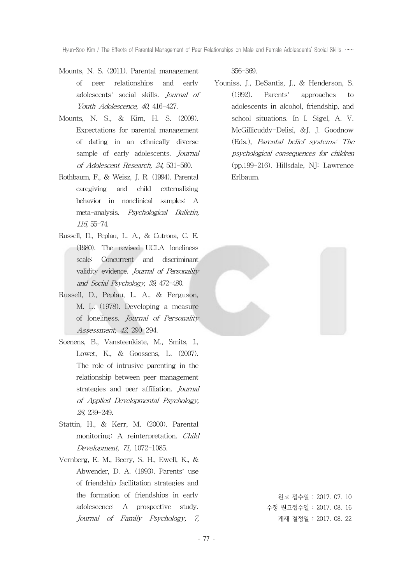- Mounts, N. S. (2011). Parental management of peer relationships and early adolescents' social skills. Journal of Youth Adolescence, 40, 416-427.
- Mounts, N. S., & Kim, H. S. (2009). Expectations for parental management of dating in an ethnically diverse sample of early adolescents. Journal of Adolescent Research, 24, 531-560.
- Rothbaum, F., & Weisz, J. R. (1994). Parental caregiving and child externalizing behavior in nonclinical samples: A meta-analysis. Psychological Bulletin, 116, 55-74.
- Russell, D., Peplau, L. A., & Cutrona, C. E. (1980). The revised UCLA loneliness scale: Concurrent and discriminant validity evidence. Journal of Personality and Social Psychology, 39, 472-480.
- Russell, D., Peplau, L. A., & Ferguson, M. L. (1978). Developing a measure of loneliness. Journal of Personality Assessment, 42, 290-294.
- Soenens, B., Vansteenkiste, M., Smits, I., Lowet, K., & Goossens, L. (2007). The role of intrusive parenting in the relationship between peer management strategies and peer affiliation. Journal of Applied Developmental Psychology, 28, 239-249.
- Stattin, H., & Kerr, M. (2000). Parental monitoring: A reinterpretation. Child Development, 71, 1072-1085.
- Vernberg, E. M., Beery, S. H., Ewell, K., & Abwender, D. A. (1993). Parents' use of friendship facilitation strategies and the formation of friendships in early adolescence: A prospective study. Journal of Family Psychology, 7,

356-369.

Youniss, J., DeSantis, J., & Henderson, S. (1992). Parents' approaches to adolescents in alcohol, friendship, and school situations. In I. Sigel, A. V. McGillicuddy-Delisi, &J. J. Goodnow (Eds.), Parental belief systems: The psychological consequences for children (pp.199-216). Hillsdale, NJ: Lawrence Erlbaum.



원고 접수일 : 2017. 07. 10 수정 원고접수일 : 2017. 08. 16 게재 결정일 : 2017. 08. 22